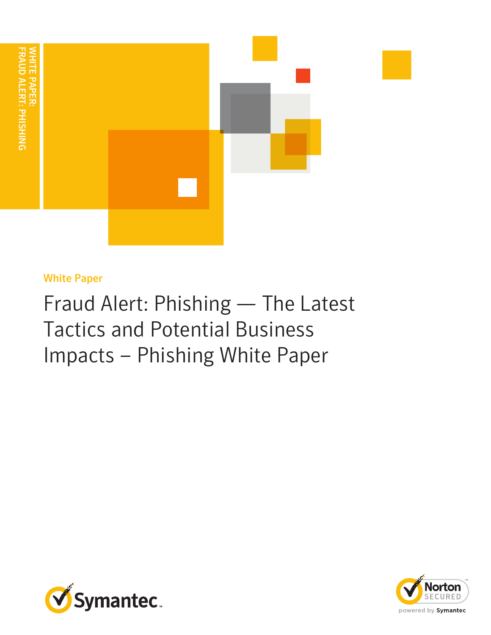

# White Paper

Fraud Alert: Phishing — The Latest Tactics and Potential Business Impacts – Phishing White Paper



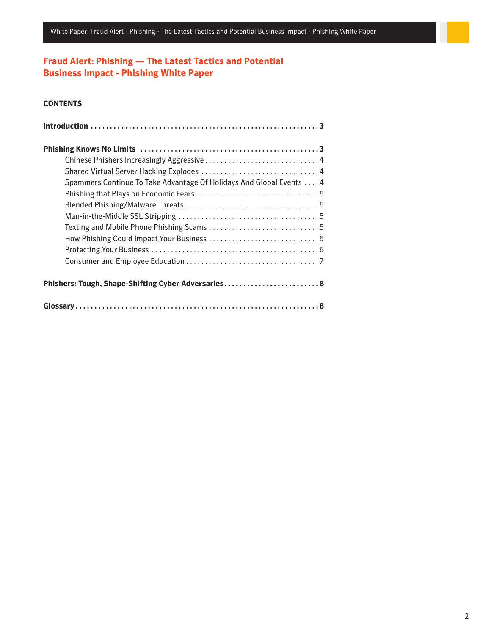## **Fraud Alert: Phishing — The Latest Tactics and Potential Business Impact - Phishing White Paper**

## **CONTENTS**

| Spammers Continue To Take Advantage Of Holidays And Global Events 4 |  |
|---------------------------------------------------------------------|--|
|                                                                     |  |
|                                                                     |  |
|                                                                     |  |
|                                                                     |  |
|                                                                     |  |
|                                                                     |  |
|                                                                     |  |
| Phishers: Tough, Shape-Shifting Cyber Adversaries 8                 |  |
|                                                                     |  |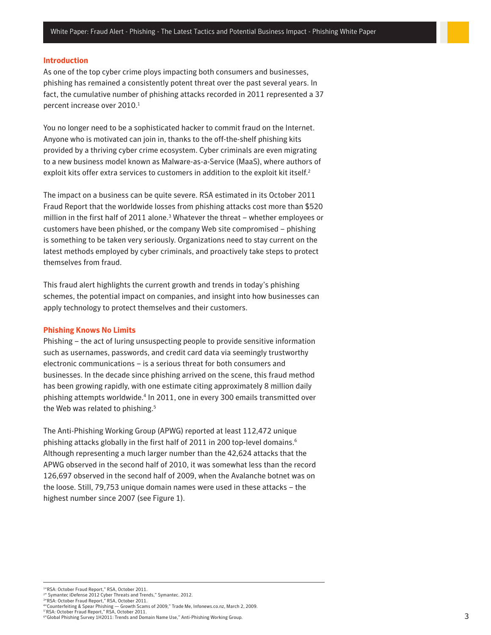## <span id="page-2-0"></span>**Introduction**

As one of the top cyber crime ploys impacting both consumers and businesses, phishing has remained a consistently potent threat over the past several years. In fact, the cumulative number of phishing attacks recorded in 2011 represented a 37 percent increase over 2010. 1

You no longer need to be a sophisticated hacker to commit fraud on the Internet. Anyone who is motivated can join in, thanks to the off-the-shelf phishing kits provided by a thriving cyber crime ecosystem. Cyber criminals are even migrating to a new business model known as Malware-as-a-Service (MaaS), where authors of exploit kits offer extra services to customers in addition to the exploit kit itself. 2

The impact on a business can be quite severe. RSA estimated in its October 2011 Fraud Report that the worldwide losses from phishing attacks cost more than \$520 million in the first half of 2011 alone.<sup>3</sup> Whatever the threat – whether employees or customers have been phished, or the company Web site compromised – phishing is something to be taken very seriously. Organizations need to stay current on the latest methods employed by cyber criminals, and proactively take steps to protect themselves from fraud.

This fraud alert highlights the current growth and trends in today's phishing schemes, the potential impact on companies, and insight into how businesses can apply technology to protect themselves and their customers.

#### **Phishing Knows No Limits**

Phishing – the act of luring unsuspecting people to provide sensitive information such as usernames, passwords, and credit card data via seemingly trustworthy electronic communications – is a serious threat for both consumers and businesses. In the decade since phishing arrived on the scene, this fraud method has been growing rapidly, with one estimate citing approximately 8 million daily phishing attempts worldwide. 4 In 2011, one in every 300 emails transmitted over the Web was related to phishing.<sup>5</sup>

The Anti-Phishing Working Group (APWG) reported at least 112,472 unique phishing attacks globally in the first half of 2011 in 200 top-level domains. 6 Although representing a much larger number than the 42,624 attacks that the APWG observed in the second half of 2010, it was somewhat less than the record 126,697 observed in the second half of 2009, when the Avalanche botnet was on the loose. Still, 79,753 unique domain names were used in these attacks – the highest number since 2007 (see Figure 1).

1 "RSA: October Fraud Report," RSA, October 2011.

<sup>&</sup>lt;sup>24</sup> Symantec iDefense 2012 Cyber Threats and Trends," Symantec. 2012.<br><sup>34</sup>RSA: October Fraud Report," RSA, October 2011.

<sup>4&</sup>quot;Counterfeiting & Spear Phishing — Growth Scams of 2009," Trade Me, Infonews.co.nz, March 2, 2009.<br><sup>5</sup>'RSA: October Fraud Report," RSA, October 2011.

<sup>6</sup> "Global Phishing Survey 1H2011: Trends and Domain Name Use," Anti-Phishing Working Group.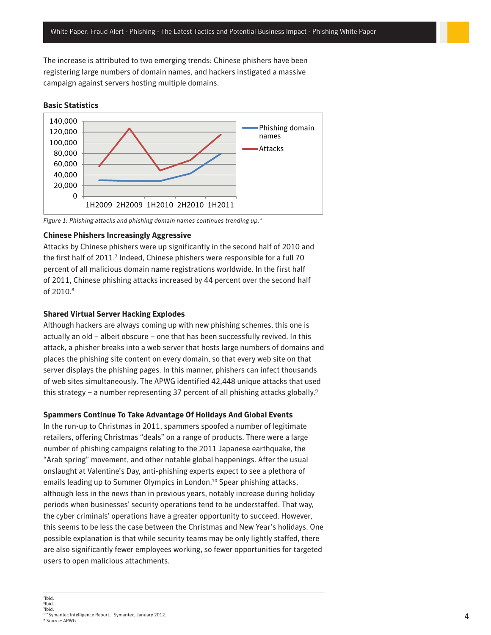<span id="page-3-0"></span>The increase is attributed to two emerging trends: Chinese phishers have been registering large numbers of domain names, and hackers instigated a massive campaign against servers hosting multiple domains.

## **Basic Statistics**



*Figure 1: Phishing attacks and phishing domain names continues trending up.\**

## **Chinese Phishers Increasingly Aggressive**

Attacks by Chinese phishers were up significantly in the second half of 2010 and the first half of 2011.<sup>7</sup> Indeed, Chinese phishers were responsible for a full 70 percent of all malicious domain name registrations worldwide. In the first half of 2011, Chinese phishing attacks increased by 44 percent over the second half of 2010. 8

## **Shared Virtual Server Hacking Explodes**

Although hackers are always coming up with new phishing schemes, this one is actually an old – albeit obscure – one that has been successfully revived. In this attack, a phisher breaks into a web server that hosts large numbers of domains and places the phishing site content on every domain, so that every web site on that server displays the phishing pages. In this manner, phishers can infect thousands of web sites simultaneously. The APWG identified 42,448 unique attacks that used this strategy – a number representing 37 percent of all phishing attacks globally.<sup>9</sup>

## **Spammers Continue To Take Advantage Of Holidays And Global Events**

In the run-up to Christmas in 2011, spammers spoofed a number of legitimate retailers, offering Christmas "deals" on a range of products. There were a large number of phishing campaigns relating to the 2011 Japanese earthquake, the "Arab spring" movement, and other notable global happenings. After the usual onslaught at Valentine's Day, anti-phishing experts expect to see a plethora of emails leading up to Summer Olympics in London. 10 Spear phishing attacks, although less in the news than in previous years, notably increase during holiday periods when businesses' security operations tend to be understaffed. That way, the cyber criminals' operations have a greater opportunity to succeed. However, this seems to be less the case between the Christmas and New Year's holidays. One possible explanation is that while security teams may be only lightly staffed, there are also significantly fewer employees working, so fewer opportunities for targeted users to open malicious attachments.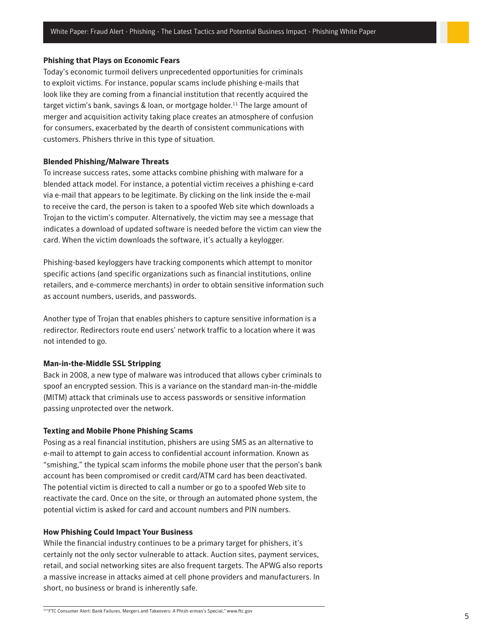#### <span id="page-4-0"></span>**Phishing that Plays on Economic Fears**

Today's economic turmoil delivers unprecedented opportunities for criminals to exploit victims. For instance, popular scams include phishing e-mails that look like they are coming from a financial institution that recently acquired the target victim's bank, savings & loan, or mortgage holder. 11 The large amount of merger and acquisition activity taking place creates an atmosphere of confusion for consumers, exacerbated by the dearth of consistent communications with customers. Phishers thrive in this type of situation.

## **Blended Phishing/Malware Threats**

To increase success rates, some attacks combine phishing with malware for a blended attack model. For instance, a potential victim receives a phishing e-card via e-mail that appears to be legitimate. By clicking on the link inside the e-mail to receive the card, the person is taken to a spoofed Web site which downloads a Trojan to the victim's computer. Alternatively, the victim may see a message that indicates a download of updated software is needed before the victim can view the card. When the victim downloads the software, it's actually a keylogger.

Phishing-based keyloggers have tracking components which attempt to monitor specific actions (and specific organizations such as financial institutions, online retailers, and e-commerce merchants) in order to obtain sensitive information such as account numbers, userids, and passwords.

Another type of Trojan that enables phishers to capture sensitive information is a redirector. Redirectors route end users' network traffic to a location where it was not intended to go.

#### **Man-in-the-Middle SSL Stripping**

Back in 2008, a new type of malware was introduced that allows cyber criminals to spoof an encrypted session. This is a variance on the standard man-in-the-middle (MITM) attack that criminals use to access passwords or sensitive information passing unprotected over the network.

#### **Texting and Mobile Phone Phishing Scams**

Posing as a real financial institution, phishers are using SMS as an alternative to e-mail to attempt to gain access to confidential account information. Known as "smishing," the typical scam informs the mobile phone user that the person's bank account has been compromised or credit card/ATM card has been deactivated. The potential victim is directed to call a number or go to a spoofed Web site to reactivate the card. Once on the site, or through an automated phone system, the potential victim is asked for card and account numbers and PIN numbers.

#### **How Phishing Could Impact Your Business**

While the financial industry continues to be a primary target for phishers, it's certainly not the only sector vulnerable to attack. Auction sites, payment services, retail, and social networking sites are also frequent targets. The APWG also reports a massive increase in attacks aimed at cell phone providers and manufacturers. In short, no business or brand is inherently safe.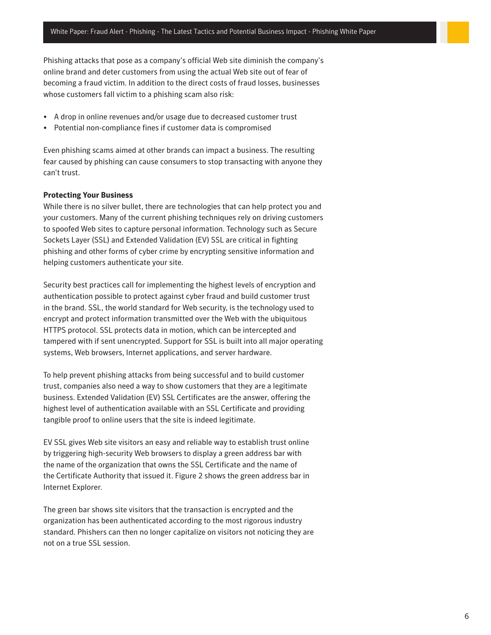<span id="page-5-0"></span>Phishing attacks that pose as a company's official Web site diminish the company's online brand and deter customers from using the actual Web site out of fear of becoming a fraud victim. In addition to the direct costs of fraud losses, businesses whose customers fall victim to a phishing scam also risk:

- A drop in online revenues and/or usage due to decreased customer trust
- Potential non-compliance fines if customer data is compromised

Even phishing scams aimed at other brands can impact a business. The resulting fear caused by phishing can cause consumers to stop transacting with anyone they can't trust.

## **Protecting Your Business**

While there is no silver bullet, there are technologies that can help protect you and your customers. Many of the current phishing techniques rely on driving customers to spoofed Web sites to capture personal information. Technology such as Secure Sockets Layer (SSL) and Extended Validation (EV) SSL are critical in fighting phishing and other forms of cyber crime by encrypting sensitive information and helping customers authenticate your site.

Security best practices call for implementing the highest levels of encryption and authentication possible to protect against cyber fraud and build customer trust in the brand. SSL, the world standard for Web security, is the technology used to encrypt and protect information transmitted over the Web with the ubiquitous HTTPS protocol. SSL protects data in motion, which can be intercepted and tampered with if sent unencrypted. Support for SSL is built into all major operating systems, Web browsers, Internet applications, and server hardware.

To help prevent phishing attacks from being successful and to build customer trust, companies also need a way to show customers that they are a legitimate business. Extended Validation (EV) SSL Certificates are the answer, offering the highest level of authentication available with an SSL Certificate and providing tangible proof to online users that the site is indeed legitimate.

EV SSL gives Web site visitors an easy and reliable way to establish trust online by triggering high-security Web browsers to display a green address bar with the name of the organization that owns the SSL Certificate and the name of the Certificate Authority that issued it. Figure 2 shows the green address bar in Internet Explorer.

The green bar shows site visitors that the transaction is encrypted and the organization has been authenticated according to the most rigorous industry standard. Phishers can then no longer capitalize on visitors not noticing they are not on a true SSL session.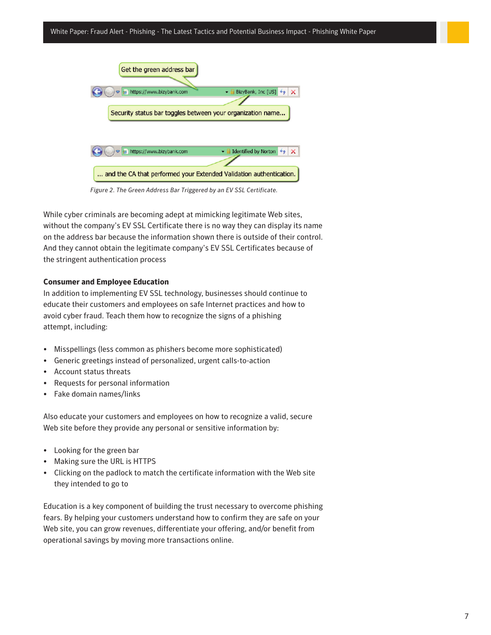<span id="page-6-0"></span>

*Figure 2. The Green Address Bar Triggered by an EV SSL Certificate.*

While cyber criminals are becoming adept at mimicking legitimate Web sites, without the company's EV SSL Certificate there is no way they can display its name on the address bar because the information shown there is outside of their control. And they cannot obtain the legitimate company's EV SSL Certificates because of the stringent authentication process

## **Consumer and Employee Education**

In addition to implementing EV SSL technology, businesses should continue to educate their customers and employees on safe Internet practices and how to avoid cyber fraud. Teach them how to recognize the signs of a phishing attempt, including:

- Misspellings (less common as phishers become more sophisticated)
- • Generic greetings instead of personalized, urgent calls-to-action
- • Account status threats
- Requests for personal information
- • Fake domain names/links

Also educate your customers and employees on how to recognize a valid, secure Web site before they provide any personal or sensitive information by:

- • Looking for the green bar
- Making sure the URL is HTTPS
- Clicking on the padlock to match the certificate information with the Web site they intended to go to

Education is a key component of building the trust necessary to overcome phishing fears. By helping your customers understand how to confirm they are safe on your Web site, you can grow revenues, differentiate your offering, and/or benefit from operational savings by moving more transactions online.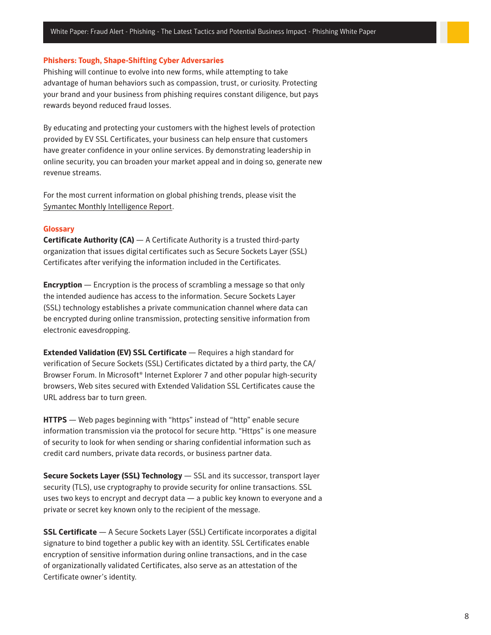#### <span id="page-7-0"></span>**Phishers: Tough, Shape-Shifting Cyber Adversaries**

Phishing will continue to evolve into new forms, while attempting to take advantage of human behaviors such as compassion, trust, or curiosity. Protecting your brand and your business from phishing requires constant diligence, but pays rewards beyond reduced fraud losses.

By educating and protecting your customers with the highest levels of protection provided by EV SSL Certificates, your business can help ensure that customers have greater confidence in your online services. By demonstrating leadership in online security, you can broaden your market appeal and in doing so, generate new revenue streams.

For the most current information on global phishing trends, please visit the [Symantec Monthly Intelligence Report.](http://www.symantec.com/theme.jsp?themeid=state_of_spam)

## **Glossary**

**Certificate Authority (CA)** — A Certificate Authority is a trusted third-party organization that issues digital certificates such as Secure Sockets Layer (SSL) Certificates after verifying the information included in the Certificates.

**Encryption** — Encryption is the process of scrambling a message so that only the intended audience has access to the information. Secure Sockets Layer (SSL) technology establishes a private communication channel where data can be encrypted during online transmission, protecting sensitive information from electronic eavesdropping.

**Extended Validation (EV) SSL Certificate** — Requires a high standard for verification of Secure Sockets (SSL) Certificates dictated by a third party, the CA/ Browser Forum. In Microsoft® Internet Explorer 7 and other popular high-security browsers, Web sites secured with Extended Validation SSL Certificates cause the URL address bar to turn green.

**HTTPS** — Web pages beginning with "https" instead of "http" enable secure information transmission via the protocol for secure http. "Https" is one measure of security to look for when sending or sharing confidential information such as credit card numbers, private data records, or business partner data.

**Secure Sockets Layer (SSL) Technology** — SSL and its successor, transport layer security (TLS), use cryptography to provide security for online transactions. SSL uses two keys to encrypt and decrypt data — a public key known to everyone and a private or secret key known only to the recipient of the message.

**SSL Certificate** — A Secure Sockets Layer (SSL) Certificate incorporates a digital signature to bind together a public key with an identity. SSL Certificates enable encryption of sensitive information during online transactions, and in the case of organizationally validated Certificates, also serve as an attestation of the Certificate owner's identity.